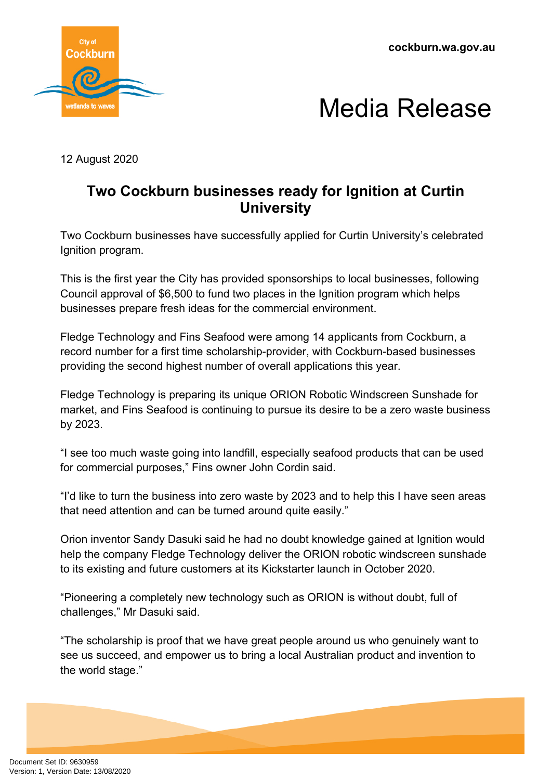**cockburn.wa.gov.au**





12 August 2020

## **Two Cockburn businesses ready for Ignition at Curtin University**

Two Cockburn businesses have successfully applied for Curtin University's celebrated Ignition program.

This is the first year the City has provided sponsorships to local businesses, following Council approval of \$6,500 to fund two places in the Ignition program which helps businesses prepare fresh ideas for the commercial environment.

Fledge Technology and Fins Seafood were among 14 applicants from Cockburn, a record number for a first time scholarship-provider, with Cockburn-based businesses providing the second highest number of overall applications this year.

Fledge Technology is preparing its unique ORION Robotic Windscreen Sunshade for market, and Fins Seafood is continuing to pursue its desire to be a zero waste business by 2023.

"I see too much waste going into landfill, especially seafood products that can be used for commercial purposes," Fins owner John Cordin said.

"I'd like to turn the business into zero waste by 2023 and to help this I have seen areas that need attention and can be turned around quite easily."

Orion inventor Sandy Dasuki said he had no doubt knowledge gained at Ignition would help the company Fledge Technology deliver the ORION robotic windscreen sunshade to its existing and future customers at its Kickstarter launch in October 2020.

"Pioneering a completely new technology such as ORION is without doubt, full of challenges," Mr Dasuki said.

"The scholarship is proof that we have great people around us who genuinely want to see us succeed, and empower us to bring a local Australian product and invention to the world stage."